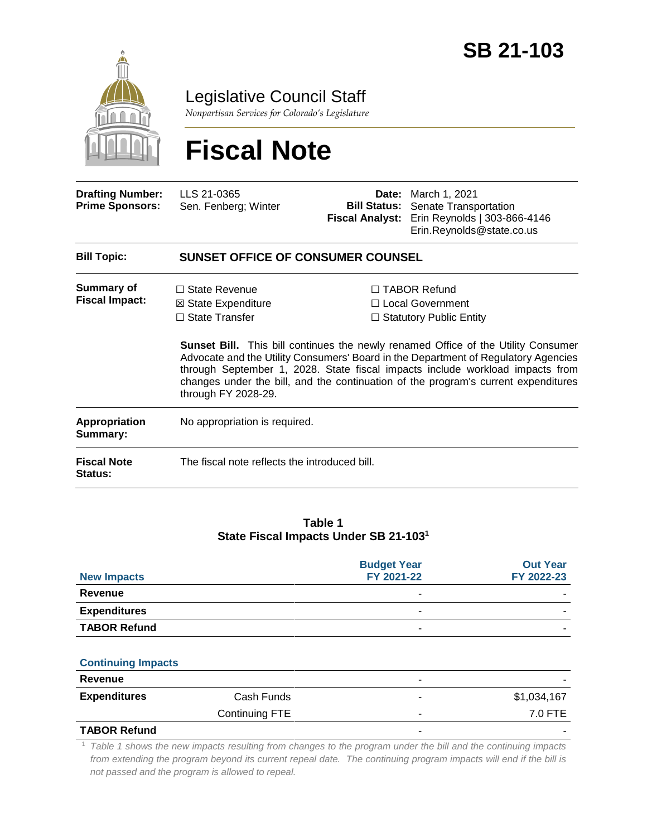

Legislative Council Staff

*Nonpartisan Services for Colorado's Legislature*

# **Fiscal Note**

| <b>Drafting Number:</b><br><b>Prime Sponsors:</b> | LLS 21-0365<br>Sen. Fenberg; Winter                                                         |  | <b>Date:</b> March 1, 2021<br><b>Bill Status:</b> Senate Transportation<br>Fiscal Analyst: Erin Reynolds   303-866-4146<br>Erin.Reynolds@state.co.us                                                                                                                                                                                                                                                                                 |  |  |  |
|---------------------------------------------------|---------------------------------------------------------------------------------------------|--|--------------------------------------------------------------------------------------------------------------------------------------------------------------------------------------------------------------------------------------------------------------------------------------------------------------------------------------------------------------------------------------------------------------------------------------|--|--|--|
| <b>Bill Topic:</b>                                | <b>SUNSET OFFICE OF CONSUMER COUNSEL</b>                                                    |  |                                                                                                                                                                                                                                                                                                                                                                                                                                      |  |  |  |
| Summary of<br><b>Fiscal Impact:</b>               | $\Box$ State Revenue<br>⊠ State Expenditure<br>$\Box$ State Transfer<br>through FY 2028-29. |  | $\Box$ TABOR Refund<br>□ Local Government<br>$\Box$ Statutory Public Entity<br><b>Sunset Bill.</b> This bill continues the newly renamed Office of the Utility Consumer<br>Advocate and the Utility Consumers' Board in the Department of Regulatory Agencies<br>through September 1, 2028. State fiscal impacts include workload impacts from<br>changes under the bill, and the continuation of the program's current expenditures |  |  |  |
| <b>Appropriation</b><br>Summary:                  | No appropriation is required.                                                               |  |                                                                                                                                                                                                                                                                                                                                                                                                                                      |  |  |  |
| <b>Fiscal Note</b><br><b>Status:</b>              | The fiscal note reflects the introduced bill.                                               |  |                                                                                                                                                                                                                                                                                                                                                                                                                                      |  |  |  |

#### **Table 1 State Fiscal Impacts Under SB 21-103<sup>1</sup>**

| <b>New Impacts</b>  | <b>Budget Year</b><br>FY 2021-22 | <b>Out Year</b><br>FY 2022-23 |
|---------------------|----------------------------------|-------------------------------|
| <b>Revenue</b>      | -                                |                               |
| <b>Expenditures</b> | -                                |                               |
| <b>TABOR Refund</b> | -                                |                               |

#### **Continuing Impacts**

| Revenue             |                |   | -           |
|---------------------|----------------|---|-------------|
| <b>Expenditures</b> | Cash Funds     | - | \$1,034,167 |
|                     | Continuing FTE | - | 7.0 FTE     |
|                     |                |   |             |

#### **TABOR Refund**

<sup>1</sup> *Table 1 shows the new impacts resulting from changes to the program under the bill and the continuing impacts from extending the program beyond its current repeal date. The continuing program impacts will end if the bill is not passed and the program is allowed to repeal.*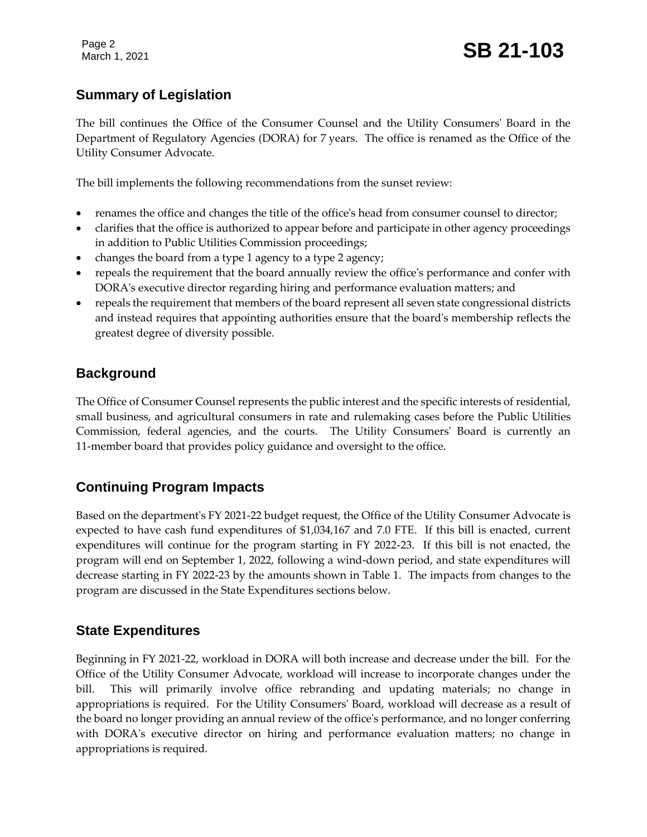Page 2

# **Summary of Legislation**

The bill continues the Office of the Consumer Counsel and the Utility Consumers' Board in the Department of Regulatory Agencies (DORA) for 7 years. The office is renamed as the Office of the Utility Consumer Advocate.

The bill implements the following recommendations from the sunset review:

- renames the office and changes the title of the office's head from consumer counsel to director;
- clarifies that the office is authorized to appear before and participate in other agency proceedings in addition to Public Utilities Commission proceedings;
- changes the board from a type 1 agency to a type 2 agency;
- repeals the requirement that the board annually review the office's performance and confer with DORA's executive director regarding hiring and performance evaluation matters; and
- repeals the requirement that members of the board represent all seven state congressional districts and instead requires that appointing authorities ensure that the board's membership reflects the greatest degree of diversity possible.

# **Background**

The Office of Consumer Counsel represents the public interest and the specific interests of residential, small business, and agricultural consumers in rate and rulemaking cases before the Public Utilities Commission, federal agencies, and the courts. The Utility Consumers' Board is currently an 11-member board that provides policy guidance and oversight to the office.

# **Continuing Program Impacts**

Based on the department's FY 2021-22 budget request, the Office of the Utility Consumer Advocate is expected to have cash fund expenditures of \$1,034,167 and 7.0 FTE. If this bill is enacted, current expenditures will continue for the program starting in FY 2022-23. If this bill is not enacted, the program will end on September 1, 2022, following a wind-down period, and state expenditures will decrease starting in FY 2022-23 by the amounts shown in Table 1. The impacts from changes to the program are discussed in the State Expenditures sections below.

## **State Expenditures**

Beginning in FY 2021-22, workload in DORA will both increase and decrease under the bill. For the Office of the Utility Consumer Advocate, workload will increase to incorporate changes under the bill. This will primarily involve office rebranding and updating materials; no change in appropriations is required. For the Utility Consumers' Board, workload will decrease as a result of the board no longer providing an annual review of the office's performance, and no longer conferring with DORA's executive director on hiring and performance evaluation matters; no change in appropriations is required.